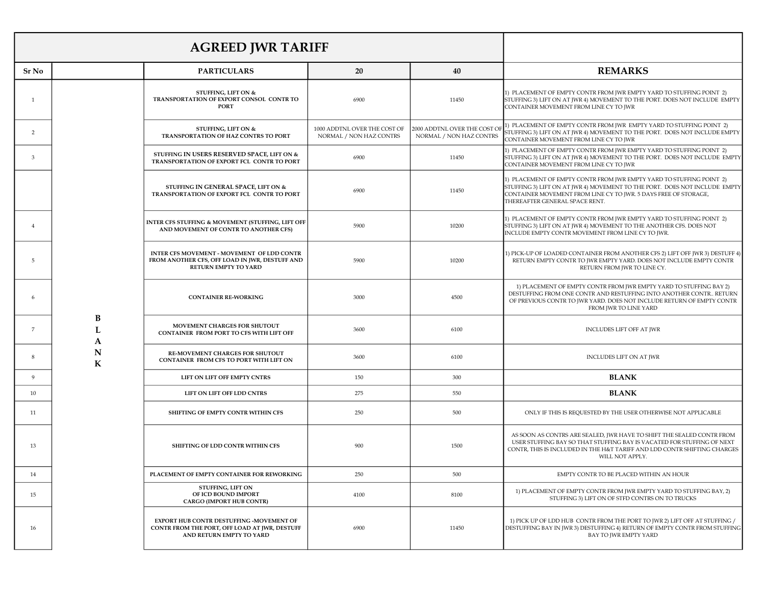| <b>AGREED JWR TARIFF</b> |              |                                                                                                                       |                                                         |                                                         |                                                                                                                                                                                                                                                         |
|--------------------------|--------------|-----------------------------------------------------------------------------------------------------------------------|---------------------------------------------------------|---------------------------------------------------------|---------------------------------------------------------------------------------------------------------------------------------------------------------------------------------------------------------------------------------------------------------|
| Sr No                    |              | <b>PARTICULARS</b>                                                                                                    | 20                                                      | 40                                                      | <b>REMARKS</b>                                                                                                                                                                                                                                          |
| <sup>1</sup>             |              | <b>STUFFING, LIFT ON &amp;</b><br>TRANSPORTATION OF EXPORT CONSOL CONTR TO<br><b>PORT</b>                             | 6900                                                    | 11450                                                   | 1) PLACEMENT OF EMPTY CONTR FROM JWR EMPTY YARD TO STUFFING POINT 2)<br>STUFFING 3) LIFT ON AT JWR 4) MOVEMENT TO THE PORT. DOES NOT INCLUDE EMPTY<br>CONTAINER MOVEMENT FROM LINE CY TO JWR                                                            |
| 2                        |              | <b>STUFFING. LIFT ON &amp;</b><br>TRANSPORTATION OF HAZ CONTRS TO PORT                                                | 1000 ADDTNL OVER THE COST OF<br>NORMAL / NON HAZ CONTRS | 2000 ADDTNL OVER THE COST OI<br>NORMAL / NON HAZ CONTRS | 1) PLACEMENT OF EMPTY CONTR FROM JWR EMPTY YARD TO STUFFING POINT 2)<br>STUFFING 3) LIFT ON AT JWR 4) MOVEMENT TO THE PORT. DOES NOT INCLUDE EMPTY<br>CONTAINER MOVEMENT FROM LINE CY TO JWR                                                            |
| 3                        |              | STUFFING IN USERS RESERVED SPACE, LIFT ON &<br>TRANSPORTATION OF EXPORT FCL CONTR TO PORT                             | 6900                                                    | 11450                                                   | 1) PLACEMENT OF EMPTY CONTR FROM JWR EMPTY YARD TO STUFFING POINT 2)<br>STUFFING 3) LIFT ON AT JWR 4) MOVEMENT TO THE PORT. DOES NOT INCLUDE EMPTY<br>CONTAINER MOVEMENT FROM LINE CY TO JWR                                                            |
|                          |              | STUFFING IN GENERAL SPACE, LIFT ON &<br>TRANSPORTATION OF EXPORT FCL CONTR TO PORT                                    | 6900                                                    | 11450                                                   | 1) PLACEMENT OF EMPTY CONTR FROM JWR EMPTY YARD TO STUFFING POINT 2)<br>STUFFING 3) LIFT ON AT JWR 4) MOVEMENT TO THE PORT. DOES NOT INCLUDE EMPTY<br>CONTAINER MOVEMENT FROM LINE CY TO JWR. 5 DAYS FREE OF STORAGE,<br>THEREAFTER GENERAL SPACE RENT. |
|                          |              | INTER CFS STUFFING & MOVEMENT (STUFFING, LIFT OFF<br>AND MOVEMENT OF CONTR TO ANOTHER CFS)                            | 5900                                                    | 10200                                                   | 1) PLACEMENT OF EMPTY CONTR FROM JWR EMPTY YARD TO STUFFING POINT 2)<br>STUFFING 3) LIFT ON AT JWR 4) MOVEMENT TO THE ANOTHER CFS. DOES NOT<br>INCLUDE EMPTY CONTR MOVEMENT FROM LINE CY TO JWR.                                                        |
| 5                        |              | INTER CFS MOVEMENT - MOVEMENT OF LDD CONTR<br>FROM ANOTHER CFS, OFF LOAD IN JWR, DESTUFF AND<br>RETURN EMPTY TO YARD  | 5900                                                    | 10200                                                   | 1) PICK-UP OF LOADED CONTAINER FROM ANOTHER CFS 2) LIFT OFF JWR 3) DESTUFF 4)<br>RETURN EMPTY CONTR TO JWR EMPTY YARD. DOES NOT INCLUDE EMPTY CONTR<br>RETURN FROM JWR TO LINE CY.                                                                      |
| 6                        |              | <b>CONTAINER RE-WORKING</b>                                                                                           | 3000                                                    | 4500                                                    | 1) PLACEMENT OF EMPTY CONTR FROM JWR EMPTY YARD TO STUFFING BAY 2)<br>DESTUFFING FROM ONE CONTR AND RESTUFFING INTO ANOTHER CONTR RETURN<br>OF PREVIOUS CONTR TO JWR YARD. DOES NOT INCLUDE RETURN OF EMPTY CONTR<br>FROM JWR TO LINE YARD              |
| 7                        | B<br>L<br>A  | MOVEMENT CHARGES FOR SHUTOUT<br>CONTAINER FROM PORT TO CFS WITH LIFT OFF                                              | 3600                                                    | 6100                                                    | INCLUDES LIFT OFF AT JWR                                                                                                                                                                                                                                |
| 8                        | N<br>$\bf K$ | RE-MOVEMENT CHARGES FOR SHUTOUT<br>CONTAINER FROM CFS TO PORT WITH LIFT ON                                            | 3600                                                    | 6100                                                    | INCLUDES LIFT ON AT JWR                                                                                                                                                                                                                                 |
| 9                        |              | LIFT ON LIFT OFF EMPTY CNTRS                                                                                          | 150                                                     | 300                                                     | <b>BLANK</b>                                                                                                                                                                                                                                            |
| 10                       |              | LIFT ON LIFT OFF LDD CNTRS                                                                                            | 275                                                     | 550                                                     | <b>BLANK</b>                                                                                                                                                                                                                                            |
| 11                       |              | SHIFTING OF EMPTY CONTR WITHIN CFS                                                                                    | 250                                                     | 500                                                     | ONLY IF THIS IS REQUESTED BY THE USER OTHERWISE NOT APPLICABLE                                                                                                                                                                                          |
| 13                       |              | SHIFTING OF LDD CONTR WITHIN CFS                                                                                      | 900                                                     | 1500                                                    | AS SOON AS CONTRS ARE SEALED, JWR HAVE TO SHIFT THE SEALED CONTR FROM<br>USER STUFFING BAY SO THAT STUFFING BAY IS VACATED FOR STUFFING OF NEXT<br>CONTR, THIS IS INCLUDED IN THE H&T TARIFF AND LDD CONTR SHIFTING CHARGES<br>WILL NOT APPLY.          |
| 14                       |              | PLACEMENT OF EMPTY CONTAINER FOR REWORKING                                                                            | 250                                                     | 500                                                     | EMPTY CONTR TO BE PLACED WITHIN AN HOUR                                                                                                                                                                                                                 |
| 15                       |              | STUFFING, LIFT ON<br>OF ICD BOUND IMPORT<br><b>CARGO (IMPORT HUB CONTR)</b>                                           | 4100                                                    | 8100                                                    | 1) PLACEMENT OF EMPTY CONTR FROM IWR EMPTY YARD TO STUFFING BAY. 2)<br>STUFFING 3) LIFT ON OF STFD CONTRS ON TO TRUCKS                                                                                                                                  |
| 16                       |              | EXPORT HUB CONTR DESTUFFING -MOVEMENT OF<br>CONTR FROM THE PORT, OFF LOAD AT JWR, DESTUFF<br>AND RETURN EMPTY TO YARD | 6900                                                    | 11450                                                   | 1) PICK UP OF LDD HUB CONTR FROM THE PORT TO JWR 2) LIFT OFF AT STUFFING /<br>DESTUFFING BAY IN JWR 3) DESTUFFING 4) RETURN OF EMPTY CONTR FROM STUFFING<br>BAY TO JWR EMPTY YARD                                                                       |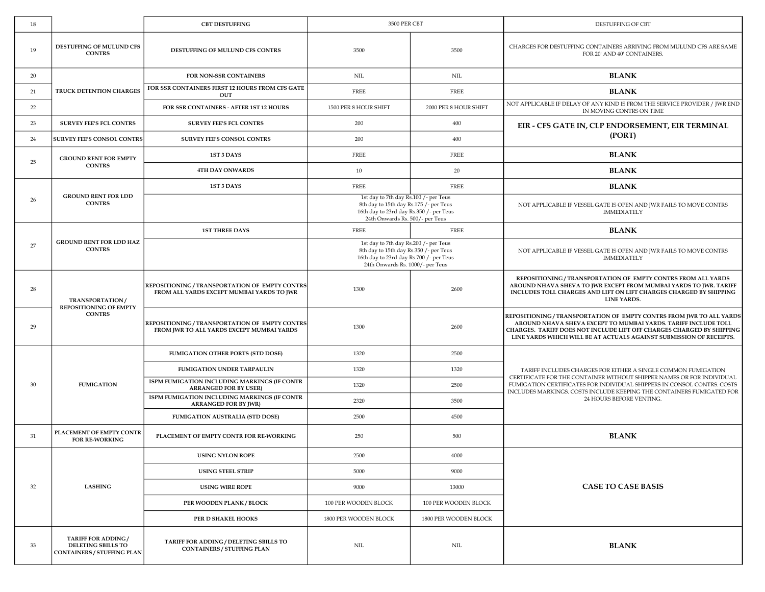| 18 |                                                                               | <b>CBT DESTUFFING</b>                                                                       | 3500 PER CBT                                                                                                                                                   |                       | DESTUFFING OF CBT                                                                                                                                                                                                                                                                      |
|----|-------------------------------------------------------------------------------|---------------------------------------------------------------------------------------------|----------------------------------------------------------------------------------------------------------------------------------------------------------------|-----------------------|----------------------------------------------------------------------------------------------------------------------------------------------------------------------------------------------------------------------------------------------------------------------------------------|
| 19 | DESTUFFING OF MULUND CFS<br><b>CONTRS</b>                                     | DESTUFFING OF MULUND CFS CONTRS                                                             | 3500                                                                                                                                                           | 3500                  | CHARGES FOR DESTUFFING CONTAINERS ARRIVING FROM MULUND CFS ARE SAME<br>FOR 20' AND 40' CONTAINERS.                                                                                                                                                                                     |
| 20 |                                                                               | FOR NON-SSR CONTAINERS                                                                      | NIL                                                                                                                                                            | $\text{NIL}$          | <b>BLANK</b>                                                                                                                                                                                                                                                                           |
| 21 | <b>TRUCK DETENTION CHARGES</b>                                                | FOR SSR CONTAINERS FIRST 12 HOURS FROM CFS GATE<br>OUT                                      | <b>FREE</b>                                                                                                                                                    | <b>FREE</b>           | <b>BLANK</b>                                                                                                                                                                                                                                                                           |
| 22 |                                                                               | FOR SSR CONTAINERS - AFTER 1ST 12 HOURS                                                     | 1500 PER 8 HOUR SHIFT                                                                                                                                          | 2000 PER 8 HOUR SHIFT | NOT APPLICABLE IF DELAY OF ANY KIND IS FROM THE SERVICE PROVIDER / JWR END<br>IN MOVING CONTRS ON TIME                                                                                                                                                                                 |
| 23 | <b>SURVEY FEE'S FCL CONTRS</b>                                                | <b>SURVEY FEE'S FCL CONTRS</b>                                                              | 200                                                                                                                                                            | 400                   | EIR - CFS GATE IN, CLP ENDORSEMENT, EIR TERMINAL                                                                                                                                                                                                                                       |
| 24 | <b>SURVEY FEE'S CONSOL CONTRS</b>                                             | SURVEY FEE'S CONSOL CONTRS                                                                  | 200                                                                                                                                                            | 400                   | (PORT)                                                                                                                                                                                                                                                                                 |
|    | <b>GROUND RENT FOR EMPTY</b>                                                  | 1ST 3 DAYS                                                                                  | <b>FREE</b>                                                                                                                                                    | <b>FREE</b>           | <b>BLANK</b>                                                                                                                                                                                                                                                                           |
| 25 | <b>CONTRS</b>                                                                 | 4TH DAY ONWARDS                                                                             | 10                                                                                                                                                             | 20                    | <b>BLANK</b>                                                                                                                                                                                                                                                                           |
|    |                                                                               | 1ST 3 DAYS                                                                                  | <b>FREE</b>                                                                                                                                                    | <b>FREE</b>           | <b>BLANK</b>                                                                                                                                                                                                                                                                           |
| 26 | <b>GROUND RENT FOR LDD</b><br><b>CONTRS</b>                                   |                                                                                             | 1st day to 7th day Rs.100 /- per Teus<br>8th day to 15th day Rs.175 /- per Teus<br>16th day to 23rd day Rs.350 /- per Teus<br>24th Onwards Rs. 500/- per Teus  |                       | NOT APPLICABLE IF VESSEL GATE IS OPEN AND JWR FAILS TO MOVE CONTRS<br><b>IMMEDIATELY</b>                                                                                                                                                                                               |
|    |                                                                               | <b>1ST THREE DAYS</b>                                                                       | <b>FREE</b>                                                                                                                                                    | <b>FREE</b>           | <b>BLANK</b>                                                                                                                                                                                                                                                                           |
| 27 | <b>GROUND RENT FOR LDD HAZ</b><br><b>CONTRS</b>                               |                                                                                             | 1st day to 7th day Rs.200 /- per Teus<br>8th day to 15th day Rs.350 /- per Teus<br>16th day to 23rd day Rs.700 /- per Teus<br>24th Onwards Rs. 1000/- per Teus |                       | NOT APPLICABLE IF VESSEL GATE IS OPEN AND JWR FAILS TO MOVE CONTRS<br><b>IMMEDIATELY</b>                                                                                                                                                                                               |
| 28 | TRANSPORTATION/<br>REPOSITIONING OF EMPTY                                     | REPOSITIONING / TRANSPORTATION OF EMPTY CONTRS<br>FROM ALL YARDS EXCEPT MUMBAI YARDS TO JWR | 1300                                                                                                                                                           | 2600                  | REPOSITIONING / TRANSPORTATION OF EMPTY CONTRS FROM ALL YARDS<br>AROUND NHAVA SHEVA TO JWR EXCEPT FROM MUMBAI YARDS TO JWR. TARIFF<br>INCLUDES TOLL CHARGES AND LIFT ON LIFT CHARGES CHARGED BY SHIPPING<br>LINE YARDS.                                                                |
| 29 | <b>CONTRS</b>                                                                 | REPOSITIONING / TRANSPORTATION OF EMPTY CONTRS<br>FROM JWR TO ALL YARDS EXCEPT MUMBAI YARDS | 1300                                                                                                                                                           | 2600                  | REPOSITIONING / TRANSPORTATION OF EMPTY CONTRS FROM JWR TO ALL YARDS<br>AROUND NHAVA SHEVA EXCEPT TO MUMBAI YARDS. TARIFF INCLUDE TOLL<br>CHARGES. TARIFF DOES NOT INCLUDE LIFT OFF CHARGES CHARGED BY SHIPPING<br>LINE YARDS WHICH WILL BE AT ACTUALS AGAINST SUBMISSION OF RECEIPTS. |
|    |                                                                               | FUMIGATION OTHER PORTS (STD DOSE)                                                           | 1320                                                                                                                                                           | 2500                  |                                                                                                                                                                                                                                                                                        |
|    |                                                                               | FUMIGATION UNDER TARPAULIN                                                                  | 1320                                                                                                                                                           | 1320                  | TARIFF INCLUDES CHARGES FOR EITHER A SINGLE COMMON FUMIGATION                                                                                                                                                                                                                          |
| 30 | <b>FUMIGATION</b>                                                             | ISPM FUMIGATION INCLUDING MARKINGS (IF CONTR<br><b>ARRANGED FOR BY USER)</b>                | 1320                                                                                                                                                           | 2500                  | CERTIFICATE FOR THE CONTAINER WITHOUT SHIPPER NAMES OR FOR INDIVIDUAL<br>FUMIGATION CERTIFICATES FOR INDIVIDUAL SHIPPERS IN CONSOL CONTRS. COSTS<br>INCLUDES MARKINGS. COSTS INCLUDE KEEPING THE CONTAINERS FUMIGATED FOR                                                              |
|    |                                                                               | ISPM FUMIGATION INCLUDING MARKINGS (IF CONTR<br><b>ARRANGED FOR BY JWR)</b>                 | 2320                                                                                                                                                           | 3500                  | 24 HOURS BEFORE VENTING.                                                                                                                                                                                                                                                               |
|    |                                                                               | <b>FUMIGATION AUSTRALIA (STD DOSE)</b>                                                      | 2500                                                                                                                                                           | 4500                  |                                                                                                                                                                                                                                                                                        |
| 31 | PLACEMENT OF EMPTY CONTR<br><b>FOR RE-WORKING</b>                             | PLACEMENT OF EMPTY CONTR FOR RE-WORKING                                                     | 250                                                                                                                                                            | 500                   | <b>BLANK</b>                                                                                                                                                                                                                                                                           |
|    |                                                                               | <b>USING NYLON ROPE</b>                                                                     | 2500                                                                                                                                                           | 4000                  |                                                                                                                                                                                                                                                                                        |
| 32 | <b>LASHING</b>                                                                | <b>USING STEEL STRIP</b>                                                                    | 5000                                                                                                                                                           | 9000                  |                                                                                                                                                                                                                                                                                        |
|    |                                                                               | <b>USING WIRE ROPE</b>                                                                      | 9000                                                                                                                                                           | 13000                 | <b>CASE TO CASE BASIS</b>                                                                                                                                                                                                                                                              |
|    |                                                                               | PER WOODEN PLANK / BLOCK                                                                    | 100 PER WOODEN BLOCK                                                                                                                                           | 100 PER WOODEN BLOCK  |                                                                                                                                                                                                                                                                                        |
|    |                                                                               | PER D SHAKEL HOOKS                                                                          | 1800 PER WOODEN BLOCK                                                                                                                                          | 1800 PER WOODEN BLOCK |                                                                                                                                                                                                                                                                                        |
| 33 | TARIFF FOR ADDING/<br>DELETING SBILLS TO<br><b>CONTAINERS / STUFFING PLAN</b> | TARIFF FOR ADDING / DELETING SBILLS TO<br><b>CONTAINERS / STUFFING PLAN</b>                 | NIL                                                                                                                                                            | $\text{NIL}$          | <b>BLANK</b>                                                                                                                                                                                                                                                                           |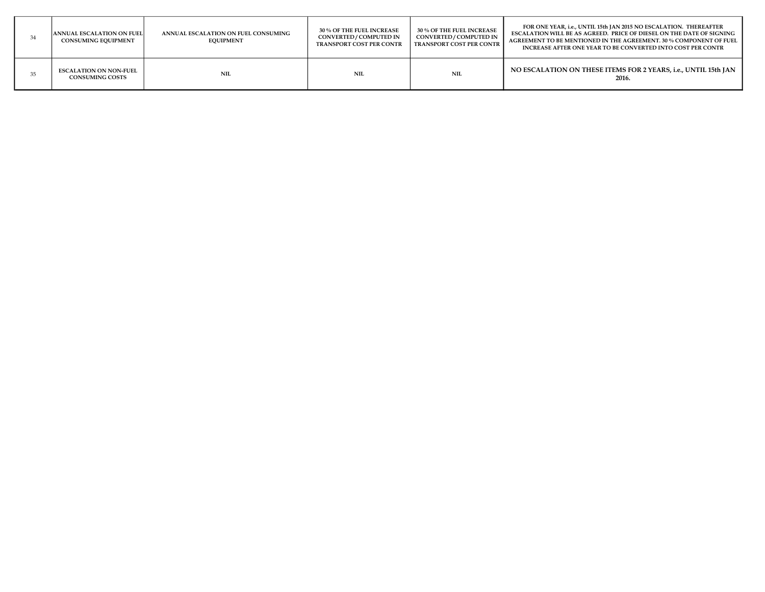| <b>ANNUAL ESCALATION ON FUEL</b><br><b>CONSUMING EQUIPMENT</b> | ANNUAL ESCALATION ON FUEL CONSUMING<br><b>EQUIPMENT</b> | <b>30 % OF THE FUEL INCREASE</b><br>CONVERTED / COMPUTED IN<br><b>TRANSPORT COST PER CONTR</b> | <b>30 % OF THE FUEL INCREASE</b><br>CONVERTED / COMPUTED IN<br><b>TRANSPORT COST PER CONTR</b> | FOR ONE YEAR, i.e., UNTIL 15th JAN 2015 NO ESCALATION. THEREAFTER<br><b>ESCALATION WILL BE AS AGREED. PRICE OF DIESEL ON THE DATE OF SIGNING</b><br>AGREEMENT TO BE MENTIONED IN THE AGREEMENT. 30 % COMPONENT OF FUEL<br>INCREASE AFTER ONE YEAR TO BE CONVERTED INTO COST PER CONTR |
|----------------------------------------------------------------|---------------------------------------------------------|------------------------------------------------------------------------------------------------|------------------------------------------------------------------------------------------------|---------------------------------------------------------------------------------------------------------------------------------------------------------------------------------------------------------------------------------------------------------------------------------------|
| <b>ESCALATION ON NON-FUEL</b><br><b>CONSUMING COSTS</b>        | NIL                                                     | NIL                                                                                            | <b>NIL</b>                                                                                     | NO ESCALATION ON THESE ITEMS FOR 2 YEARS, i.e., UNTIL 15th JAN<br>2016.                                                                                                                                                                                                               |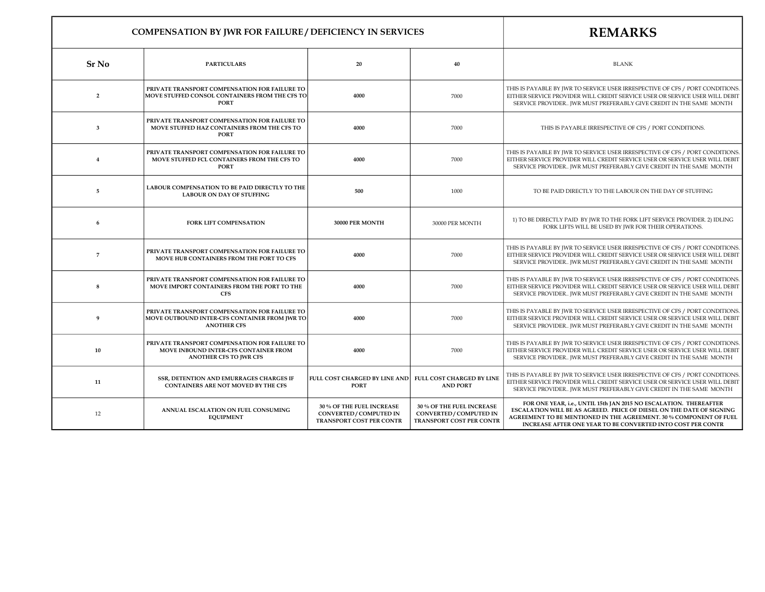|                         | <b>COMPENSATION BY JWR FOR FAILURE / DEFICIENCY IN SERVICES</b>                                                         | <b>REMARKS</b>                                                                   |                                                                                         |                                                                                                                                                                                                                                                                                |
|-------------------------|-------------------------------------------------------------------------------------------------------------------------|----------------------------------------------------------------------------------|-----------------------------------------------------------------------------------------|--------------------------------------------------------------------------------------------------------------------------------------------------------------------------------------------------------------------------------------------------------------------------------|
| <b>Sr No</b>            | <b>PARTICULARS</b>                                                                                                      | 20                                                                               | 40                                                                                      | <b>BLANK</b>                                                                                                                                                                                                                                                                   |
| $\overline{2}$          | PRIVATE TRANSPORT COMPENSATION FOR FAILURE TO<br>MOVE STUFFED CONSOL CONTAINERS FROM THE CFS TO<br><b>PORT</b>          | 4000                                                                             | 7000                                                                                    | THIS IS PAYABLE BY JWR TO SERVICE USER IRRESPECTIVE OF CFS / PORT CONDITIONS.<br>EITHER SERVICE PROVIDER WILL CREDIT SERVICE USER OR SERVICE USER WILL DEBIT<br>SERVICE PROVIDER JWR MUST PREFERABLY GIVE CREDIT IN THE SAME MONTH                                             |
| $\overline{\mathbf{3}}$ | PRIVATE TRANSPORT COMPENSATION FOR FAILURE TO<br>MOVE STUFFED HAZ CONTAINERS FROM THE CFS TO<br><b>PORT</b>             | 4000                                                                             | 7000                                                                                    | THIS IS PAYABLE IRRESPECTIVE OF CFS / PORT CONDITIONS.                                                                                                                                                                                                                         |
| $\overline{4}$          | PRIVATE TRANSPORT COMPENSATION FOR FAILURE TO<br>MOVE STUFFED FCL CONTAINERS FROM THE CFS TO<br><b>PORT</b>             | 4000                                                                             | 7000                                                                                    | THIS IS PAYABLE BY JWR TO SERVICE USER IRRESPECTIVE OF CFS / PORT CONDITIONS.<br>EITHER SERVICE PROVIDER WILL CREDIT SERVICE USER OR SERVICE USER WILL DEBIT<br>SERVICE PROVIDER JWR MUST PREFERABLY GIVE CREDIT IN THE SAME MONTH                                             |
| $\overline{5}$          | LABOUR COMPENSATION TO BE PAID DIRECTLY TO THE<br><b>LABOUR ON DAY OF STUFFING</b>                                      | 500                                                                              | 1000                                                                                    | TO BE PAID DIRECTLY TO THE LABOUR ON THE DAY OF STUFFING                                                                                                                                                                                                                       |
| 6                       | <b>FORK LIFT COMPENSATION</b>                                                                                           | 30000 PER MONTH                                                                  | 30000 PER MONTH                                                                         | 1) TO BE DIRECTLY PAID BY JWR TO THE FORK LIFT SERVICE PROVIDER. 2) IDLING<br>FORK LIFTS WILL BE USED BY JWR FOR THEIR OPERATIONS.                                                                                                                                             |
| $\overline{7}$          | PRIVATE TRANSPORT COMPENSATION FOR FAILURE TO<br>MOVE HUB CONTAINERS FROM THE PORT TO CFS                               | 4000                                                                             | 7000                                                                                    | THIS IS PAYABLE BY JWR TO SERVICE USER IRRESPECTIVE OF CFS / PORT CONDITIONS.<br>EITHER SERVICE PROVIDER WILL CREDIT SERVICE USER OR SERVICE USER WILL DEBIT<br>SERVICE PROVIDER JWR MUST PREFERABLY GIVE CREDIT IN THE SAME MONTH                                             |
| 8                       | PRIVATE TRANSPORT COMPENSATION FOR FAILURE TO<br>MOVE IMPORT CONTAINERS FROM THE PORT TO THE<br><b>CFS</b>              | 4000                                                                             | 7000                                                                                    | THIS IS PAYABLE BY JWR TO SERVICE USER IRRESPECTIVE OF CFS / PORT CONDITIONS.<br>EITHER SERVICE PROVIDER WILL CREDIT SERVICE USER OR SERVICE USER WILL DEBIT<br>SERVICE PROVIDER JWR MUST PREFERABLY GIVE CREDIT IN THE SAME MONTH                                             |
| 9                       | PRIVATE TRANSPORT COMPENSATION FOR FAILURE TO<br>MOVE OUTBOUND INTER-CFS CONTAINER FROM JWR TO<br><b>ANOTHER CFS</b>    | 4000                                                                             | 7000                                                                                    | THIS IS PAYABLE BY JWR TO SERVICE USER IRRESPECTIVE OF CFS / PORT CONDITIONS.<br>EITHER SERVICE PROVIDER WILL CREDIT SERVICE USER OR SERVICE USER WILL DEBIT<br>SERVICE PROVIDER JWR MUST PREFERABLY GIVE CREDIT IN THE SAME MONTH                                             |
| 10                      | PRIVATE TRANSPORT COMPENSATION FOR FAILURE TO<br>MOVE INBOUND INTER-CFS CONTAINER FROM<br><b>ANOTHER CFS TO JWR CFS</b> | 4000                                                                             | 7000                                                                                    | THIS IS PAYABLE BY JWR TO SERVICE USER IRRESPECTIVE OF CFS / PORT CONDITIONS.<br>EITHER SERVICE PROVIDER WILL CREDIT SERVICE USER OR SERVICE USER WILL DEBIT<br>SERVICE PROVIDER JWR MUST PREFERABLY GIVE CREDIT IN THE SAME MONTH                                             |
| 11                      | SSR, DETENTION AND EMURRAGES CHARGES IF<br>CONTAINERS ARE NOT MOVED BY THE CFS                                          | FULL COST CHARGED BY LINE AND<br><b>PORT</b>                                     | FULL COST CHARGED BY LINE<br><b>AND PORT</b>                                            | THIS IS PAYABLE BY JWR TO SERVICE USER IRRESPECTIVE OF CFS / PORT CONDITIONS.<br>EITHER SERVICE PROVIDER WILL CREDIT SERVICE USER OR SERVICE USER WILL DEBIT<br>SERVICE PROVIDER JWR MUST PREFERABLY GIVE CREDIT IN THE SAME MONTH                                             |
| 12                      | ANNUAL ESCALATION ON FUEL CONSUMING<br><b>EQUIPMENT</b>                                                                 | 30 % OF THE FUEL INCREASE<br>CONVERTED / COMPUTED IN<br>TRANSPORT COST PER CONTR | 30 % OF THE FUEL INCREASE<br><b>CONVERTED / COMPUTED IN</b><br>TRANSPORT COST PER CONTR | FOR ONE YEAR, i.e., UNTIL 15th JAN 2015 NO ESCALATION. THEREAFTER<br>ESCALATION WILL BE AS AGREED. PRICE OF DIESEL ON THE DATE OF SIGNING<br>AGREEMENT TO BE MENTIONED IN THE AGREEMENT. 30 % COMPONENT OF FUEL<br>INCREASE AFTER ONE YEAR TO BE CONVERTED INTO COST PER CONTR |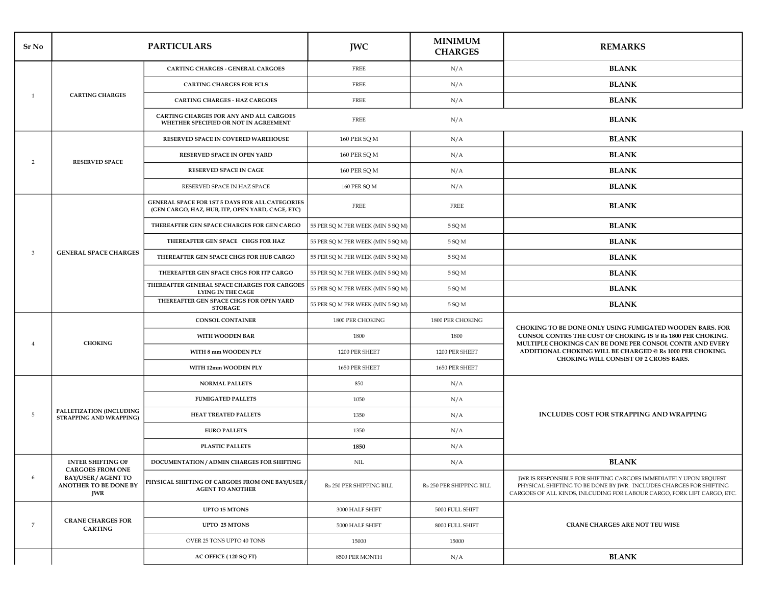| Sr No          | <b>PARTICULARS</b>                                                |                                                                                                     | <b>JWC</b>                        | <b>MINIMUM</b><br><b>CHARGES</b> | <b>REMARKS</b>                                                                                                                                                                                                     |
|----------------|-------------------------------------------------------------------|-----------------------------------------------------------------------------------------------------|-----------------------------------|----------------------------------|--------------------------------------------------------------------------------------------------------------------------------------------------------------------------------------------------------------------|
|                |                                                                   | CARTING CHARGES - GENERAL CARGOES                                                                   | FREE                              | N/A                              | <b>BLANK</b>                                                                                                                                                                                                       |
|                |                                                                   | <b>CARTING CHARGES FOR FCLS</b>                                                                     | <b>FREE</b>                       | N/A                              | <b>BLANK</b>                                                                                                                                                                                                       |
| <sup>1</sup>   | <b>CARTING CHARGES</b>                                            | <b>CARTING CHARGES - HAZ CARGOES</b>                                                                | <b>FREE</b>                       | N/A                              | <b>BLANK</b>                                                                                                                                                                                                       |
|                |                                                                   | CARTING CHARGES FOR ANY AND ALL CARGOES<br>WHETHER SPECIFIED OR NOT IN AGREEMENT                    | <b>FREE</b>                       | N/A                              | <b>BLANK</b>                                                                                                                                                                                                       |
|                |                                                                   | RESERVED SPACE IN COVERED WAREHOUSE                                                                 | 160 PER SQ M                      | N/A                              | <b>BLANK</b>                                                                                                                                                                                                       |
| 2              | <b>RESERVED SPACE</b>                                             | RESERVED SPACE IN OPEN YARD                                                                         | 160 PER SQ M                      | N/A                              | <b>BLANK</b>                                                                                                                                                                                                       |
|                |                                                                   | <b>RESERVED SPACE IN CAGE</b>                                                                       | 160 PER SQ M                      | N/A                              | <b>BLANK</b>                                                                                                                                                                                                       |
|                |                                                                   | RESERVED SPACE IN HAZ SPACE                                                                         | 160 PER SQ M                      | N/A                              | <b>BLANK</b>                                                                                                                                                                                                       |
|                |                                                                   | GENERAL SPACE FOR 1ST 5 DAYS FOR ALL CATEGORIES<br>(GEN CARGO, HAZ, HUB, ITP, OPEN YARD, CAGE, ETC) | FREE                              | <b>FREE</b>                      | <b>BLANK</b>                                                                                                                                                                                                       |
|                |                                                                   | THEREAFTER GEN SPACE CHARGES FOR GEN CARGO                                                          | 55 PER SQ M PER WEEK (MIN 5 SQ M) | 5 SQ M                           | <b>BLANK</b>                                                                                                                                                                                                       |
|                |                                                                   | THEREAFTER GEN SPACE CHGS FOR HAZ                                                                   | 55 PER SQ M PER WEEK (MIN 5 SQ M) | 5 SQ M                           | <b>BLANK</b>                                                                                                                                                                                                       |
| 3              | <b>GENERAL SPACE CHARGES</b>                                      | THEREAFTER GEN SPACE CHGS FOR HUB CARGO                                                             | 55 PER SQ M PER WEEK (MIN 5 SQ M) | 5 SQ M                           | <b>BLANK</b>                                                                                                                                                                                                       |
|                |                                                                   | THEREAFTER GEN SPACE CHGS FOR ITP CARGO                                                             | 55 PER SQ M PER WEEK (MIN 5 SQ M) | 5 SQ M                           | <b>BLANK</b>                                                                                                                                                                                                       |
|                |                                                                   | THEREAFTER GENERAL SPACE CHARGES FOR CARGOES<br><b>LYING IN THE CAGE</b>                            | 55 PER SQ M PER WEEK (MIN 5 SQ M) | 5 SQ M                           | <b>BLANK</b>                                                                                                                                                                                                       |
|                |                                                                   | THEREAFTER GEN SPACE CHGS FOR OPEN YARD<br><b>STORAGE</b>                                           | 55 PER SQ M PER WEEK (MIN 5 SQ M) | 5 SQ M                           | <b>BLANK</b>                                                                                                                                                                                                       |
|                | <b>CHOKING</b>                                                    | <b>CONSOL CONTAINER</b>                                                                             | 1800 PER CHOKING                  | 1800 PER CHOKING                 |                                                                                                                                                                                                                    |
| $\overline{4}$ |                                                                   | WITH WOODEN BAR                                                                                     | 1800                              | 1800                             | CHOKING TO BE DONE ONLY USING FUMIGATED WOODEN BARS. FOR<br>CONSOL CONTRS THE COST OF CHOKING IS @ Rs 1800 PER CHOKING.                                                                                            |
|                |                                                                   | WITH 8 mm WOODEN PLY                                                                                | 1200 PER SHEET                    | 1200 PER SHEET                   | MULTIPLE CHOKINGS CAN BE DONE PER CONSOL CONTR AND EVERY<br>ADDITIONAL CHOKING WILL BE CHARGED @ Rs 1000 PER CHOKING.<br>CHOKING WILL CONSIST OF 2 CROSS BARS.                                                     |
|                |                                                                   | WITH 12mm WOODEN PLY                                                                                | 1650 PER SHEET                    | 1650 PER SHEET                   |                                                                                                                                                                                                                    |
|                |                                                                   | <b>NORMAL PALLETS</b>                                                                               | 850                               | N/A                              |                                                                                                                                                                                                                    |
|                |                                                                   | <b>FUMIGATED PALLETS</b>                                                                            | 1050                              | N/A                              |                                                                                                                                                                                                                    |
| 5              | PALLETIZATION (INCLUDING<br><b>STRAPPING AND WRAPPING)</b>        | HEAT TREATED PALLETS                                                                                | 1350                              | N/A                              | INCLUDES COST FOR STRAPPING AND WRAPPING                                                                                                                                                                           |
|                |                                                                   | <b>EURO PALLETS</b>                                                                                 | 1350                              | N/A                              |                                                                                                                                                                                                                    |
|                |                                                                   | <b>PLASTIC PALLETS</b>                                                                              | 1850                              | N/A                              |                                                                                                                                                                                                                    |
|                | <b>INTER SHIFTING OF</b><br><b>CARGOES FROM ONE</b>               | DOCUMENTATION / ADMIN CHARGES FOR SHIFTING                                                          | <b>NIL</b>                        | N/A                              | <b>BLANK</b>                                                                                                                                                                                                       |
| 6              | <b>BAY/USER / AGENT TO</b><br>ANOTHER TO BE DONE BY<br><b>JWR</b> | PHYSICAL SHIFTING OF CARGOES FROM ONE BAY/USER /<br><b>AGENT TO ANOTHER</b>                         | Rs 250 PER SHIPPING BILL          | Rs 250 PER SHIPPING BILL         | JWR IS RESPONSIBLE FOR SHIFTING CARGOES IMMEDIATELY UPON REQUEST.<br>PHYSICAL SHIFTING TO BE DONE BY JWR. INCLUDES CHARGES FOR SHIFTING<br>CARGOES OF ALL KINDS, INLCUDING FOR LABOUR CARGO, FORK LIFT CARGO, ETC. |
|                |                                                                   | UPTO 15 MTONS                                                                                       | 3000 HALF SHIFT                   | 5000 FULL SHIFT                  |                                                                                                                                                                                                                    |
| 7              | <b>CRANE CHARGES FOR</b><br><b>CARTING</b>                        | UPTO 25 MTONS                                                                                       | 5000 HALF SHIFT                   | 8000 FULL SHIFT                  | <b>CRANE CHARGES ARE NOT TEU WISE</b>                                                                                                                                                                              |
|                |                                                                   | OVER 25 TONS UPTO 40 TONS                                                                           | 15000                             | 15000                            |                                                                                                                                                                                                                    |
|                |                                                                   | AC OFFICE (120 SQ FT)                                                                               | 8500 PER MONTH                    | N/A                              | <b>BLANK</b>                                                                                                                                                                                                       |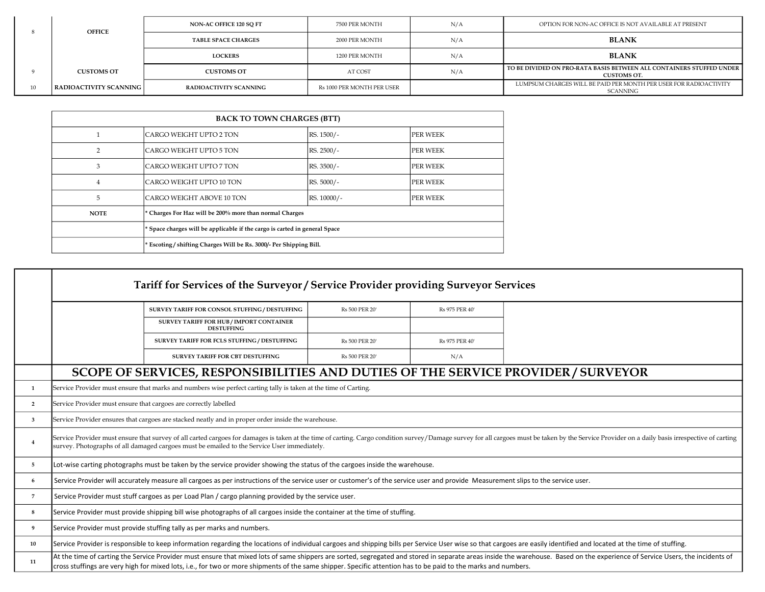|    | <b>OFFICE</b>          | NON-AC OFFICE 120 SO FT    | 7500 PER MONTH             | N/A | OPTION FOR NON-AC OFFICE IS NOT AVAILABLE AT PRESENT                                       |
|----|------------------------|----------------------------|----------------------------|-----|--------------------------------------------------------------------------------------------|
|    |                        | <b>TABLE SPACE CHARGES</b> | 2000 PER MONTH             | N/A | <b>BLANK</b>                                                                               |
|    |                        | <b>LOCKERS</b>             | 1200 PER MONTH             | N/A | <b>BLANK</b>                                                                               |
|    | <b>CUSTOMS OT</b>      | <b>CUSTOMS OT</b>          | AT COST                    | N/A | TO BE DIVIDED ON PRO-RATA BASIS BETWEEN ALL CONTAINERS STUFFED UNDER<br><b>CUSTOMS OT.</b> |
| 10 | RADIOACTIVITY SCANNING | RADIOACTIVITY SCANNING     | Rs 1000 PER MONTH PER USER |     | LUMPSUM CHARGES WILL BE PAID PER MONTH PER USER FOR RADIOACTIVITY<br>SCANNING              |

| <b>BACK TO TOWN CHARGES (BTT)</b> |                                                                            |             |                 |
|-----------------------------------|----------------------------------------------------------------------------|-------------|-----------------|
|                                   | CARGO WEIGHT UPTO 2 TON                                                    | RS. 1500/-  | <b>PER WEEK</b> |
| 2                                 | CARGO WEIGHT UPTO 5 TON                                                    | RS. 2500/-  | <b>PER WEEK</b> |
| 3                                 | CARGO WEIGHT UPTO 7 TON                                                    | RS. 3500/-  | <b>PER WEEK</b> |
| 4                                 | CARGO WEIGHT UPTO 10 TON                                                   | RS. 5000/-  | <b>PER WEEK</b> |
| 5                                 | CARGO WEIGHT ABOVE 10 TON                                                  | RS. 10000/- | <b>PER WEEK</b> |
| <b>NOTE</b>                       | * Charges For Haz will be 200% more than normal Charges                    |             |                 |
|                                   | * Space charges will be applicable if the cargo is carted in general Space |             |                 |
|                                   | * Escoting / shifting Charges Will be Rs. 3000/- Per Shipping Bill.        |             |                 |

|                | Tariff for Services of the Surveyor / Service Provider providing Surveyor Services                                                                                                                                                                                                                                            |                                                                                                                                                                |                |                |                                                                                                                                                                                                                               |
|----------------|-------------------------------------------------------------------------------------------------------------------------------------------------------------------------------------------------------------------------------------------------------------------------------------------------------------------------------|----------------------------------------------------------------------------------------------------------------------------------------------------------------|----------------|----------------|-------------------------------------------------------------------------------------------------------------------------------------------------------------------------------------------------------------------------------|
|                |                                                                                                                                                                                                                                                                                                                               | SURVEY TARIFF FOR CONSOL STUFFING / DESTUFFING                                                                                                                 | Rs 500 PER 20' | Rs 975 PER 40' |                                                                                                                                                                                                                               |
|                |                                                                                                                                                                                                                                                                                                                               | SURVEY TARIFF FOR HUB / IMPORT CONTAINER<br><b>DESTUFFING</b>                                                                                                  |                |                |                                                                                                                                                                                                                               |
|                |                                                                                                                                                                                                                                                                                                                               | SURVEY TARIFF FOR FCLS STUFFING / DESTUFFING                                                                                                                   | Rs 500 PER 20' | Rs 975 PER 40' |                                                                                                                                                                                                                               |
|                |                                                                                                                                                                                                                                                                                                                               | SURVEY TARIFF FOR CBT DESTUFFING                                                                                                                               | Rs 500 PER 20' | N/A            |                                                                                                                                                                                                                               |
|                |                                                                                                                                                                                                                                                                                                                               | SCOPE OF SERVICES, RESPONSIBILITIES AND DUTIES OF THE SERVICE PROVIDER / SURVEYOR                                                                              |                |                |                                                                                                                                                                                                                               |
| $\mathbf{1}$   |                                                                                                                                                                                                                                                                                                                               | Service Provider must ensure that marks and numbers wise perfect carting tally is taken at the time of Carting.                                                |                |                |                                                                                                                                                                                                                               |
| $\overline{2}$ | Service Provider must ensure that cargoes are correctly labelled                                                                                                                                                                                                                                                              |                                                                                                                                                                |                |                |                                                                                                                                                                                                                               |
| 3              | Service Provider ensures that cargoes are stacked neatly and in proper order inside the warehouse.                                                                                                                                                                                                                            |                                                                                                                                                                |                |                |                                                                                                                                                                                                                               |
| $\overline{4}$ | Service Provider must ensure that survey of all carted cargoes for damages is taken at the time of carting. Cargo condition survey/Damage survey for all cargoes must be taken by the Service Provider on a daily basis irresp<br>survey. Photographs of all damaged cargoes must be emailed to the Service User immediately. |                                                                                                                                                                |                |                |                                                                                                                                                                                                                               |
| 5              | Lot-wise carting photographs must be taken by the service provider showing the status of the cargoes inside the warehouse.                                                                                                                                                                                                    |                                                                                                                                                                |                |                |                                                                                                                                                                                                                               |
| 6              | Service Provider will accurately measure all cargoes as per instructions of the service user or customer's of the service user and provide Measurement slips to the service user.                                                                                                                                             |                                                                                                                                                                |                |                |                                                                                                                                                                                                                               |
| $\overline{7}$ | Service Provider must stuff cargoes as per Load Plan / cargo planning provided by the service user.                                                                                                                                                                                                                           |                                                                                                                                                                |                |                |                                                                                                                                                                                                                               |
| 8              | Service Provider must provide shipping bill wise photographs of all cargoes inside the container at the time of stuffing.                                                                                                                                                                                                     |                                                                                                                                                                |                |                |                                                                                                                                                                                                                               |
| 9              | Service Provider must provide stuffing tally as per marks and numbers.                                                                                                                                                                                                                                                        |                                                                                                                                                                |                |                |                                                                                                                                                                                                                               |
| 10             | Service Provider is responsible to keep information regarding the locations of individual cargoes and shipping bills per Service User wise so that cargoes are easily identified and located at the time of stuffing.                                                                                                         |                                                                                                                                                                |                |                |                                                                                                                                                                                                                               |
| 11             |                                                                                                                                                                                                                                                                                                                               | cross stuffings are very high for mixed lots, i.e., for two or more shipments of the same shipper. Specific attention has to be paid to the marks and numbers. |                |                | At the time of carting the Service Provider must ensure that mixed lots of same shippers are sorted, segregated and stored in separate areas inside the warehouse. Based on the experience of Service Users, the incidents of |